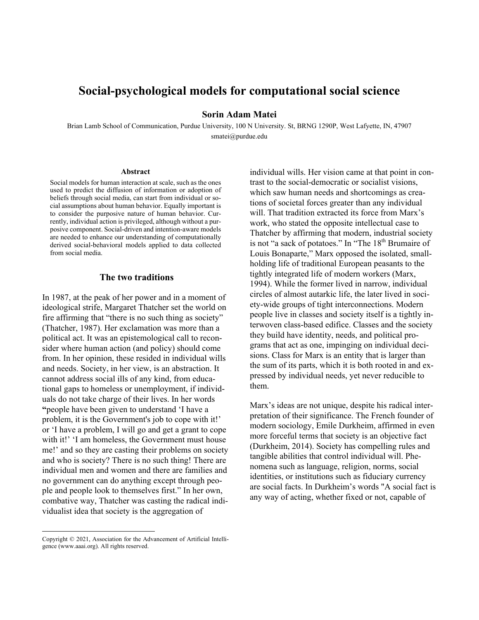# **Social-psychological models for computational social science**

## **Sorin Adam Matei**

Brian Lamb School of Communication, Purdue University, 100 N University. St, BRNG 1290P, West Lafyette, IN, 47907 smatei@purdue.edu

#### **Abstract**

Social models for human interaction at scale, such as the ones used to predict the diffusion of information or adoption of beliefs through social media, can start from individual or social assumptions about human behavior. Equally important is to consider the purposive nature of human behavior. Currently, individual action is privileged, although without a purposive component. Social-driven and intention-aware models are needed to enhance our understanding of computationally derived social-behavioral models applied to data collected from social media.

### **The two traditions**

In 1987, at the peak of her power and in a moment of ideological strife, Margaret Thatcher set the world on fire affirming that "there is no such thing as society" (Thatcher, 1987). Her exclamation was more than a political act. It was an epistemological call to reconsider where human action (and policy) should come from. In her opinion, these resided in individual wills and needs. Society, in her view, is an abstraction. It cannot address social ills of any kind, from educational gaps to homeless or unemployment, if individuals do not take charge of their lives. In her words **"**people have been given to understand 'I have a problem, it is the Government's job to cope with it!' or 'I have a problem, I will go and get a grant to cope with it!' 'I am homeless, the Government must house me!' and so they are casting their problems on society and who is society? There is no such thing! There are individual men and women and there are families and no government can do anything except through people and people look to themselves first." In her own, combative way, Thatcher was casting the radical individualist idea that society is the aggregation of

Copyright © 2021, Association for the Advancement of Artificial Intelligence (www.aaai.org). All rights reserved.

individual wills. Her vision came at that point in contrast to the social-democratic or socialist visions, which saw human needs and shortcomings as creations of societal forces greater than any individual will. That tradition extracted its force from Marx's work, who stated the opposite intellectual case to Thatcher by affirming that modern, industrial society is not "a sack of potatoes." In "The 18<sup>th</sup> Brumaire of Louis Bonaparte," Marx opposed the isolated, smallholding life of traditional European peasants to the tightly integrated life of modern workers (Marx, 1994). While the former lived in narrow, individual circles of almost autarkic life, the later lived in society-wide groups of tight interconnections. Modern people live in classes and society itself is a tightly interwoven class-based edifice. Classes and the society they build have identity, needs, and political programs that act as one, impinging on individual decisions. Class for Marx is an entity that is larger than the sum of its parts, which it is both rooted in and expressed by individual needs, yet never reducible to them.

Marx's ideas are not unique, despite his radical interpretation of their significance. The French founder of modern sociology, Emile Durkheim, affirmed in even more forceful terms that society is an objective fact (Durkheim, 2014). Society has compelling rules and tangible abilities that control individual will. Phenomena such as language, religion, norms, social identities, or institutions such as fiduciary currency are social facts. In Durkheim's words "A social fact is any way of acting, whether fixed or not, capable of